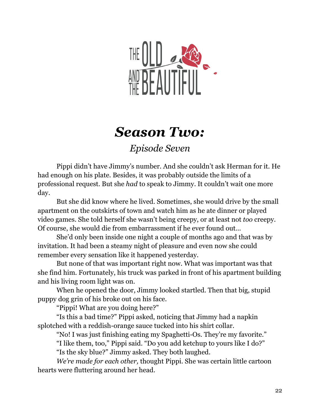

## *Season Two:*

*Episode Seven*

Pippi didn't have Jimmy's number. And she couldn't ask Herman for it. He had enough on his plate. Besides, it was probably outside the limits of a professional request. But she *had* to speak to Jimmy. It couldn't wait one more day.

But she did know where he lived. Sometimes, she would drive by the small apartment on the outskirts of town and watch him as he ate dinner or played video games. She told herself she wasn't being creepy, or at least not *too* creepy. Of course, she would die from embarrassment if he ever found out…

She'd only been inside one night a couple of months ago and that was by invitation. It had been a steamy night of pleasure and even now she could remember every sensation like it happened yesterday.

But none of that was important right now. What was important was that she find him. Fortunately, his truck was parked in front of his apartment building and his living room light was on.

When he opened the door, Jimmy looked startled. Then that big, stupid puppy dog grin of his broke out on his face.

"Pippi! What are you doing here?"

"Is this a bad time?" Pippi asked, noticing that Jimmy had a napkin splotched with a reddish-orange sauce tucked into his shirt collar.

"No! I was just finishing eating my Spaghetti-Os. They're my favorite."

"I like them, too," Pippi said. "Do you add ketchup to yours like I do?"

"Is the sky blue?" Jimmy asked. They both laughed.

*We're made for each other,* thought Pippi. She was certain little cartoon hearts were fluttering around her head.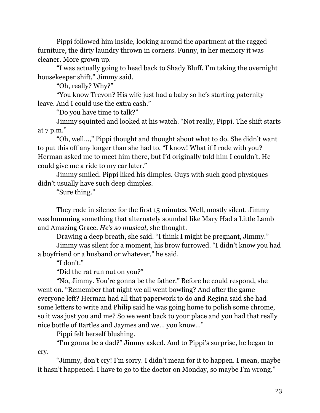Pippi followed him inside, looking around the apartment at the ragged furniture, the dirty laundry thrown in corners. Funny, in her memory it was cleaner. More grown up.

"I was actually going to head back to Shady Bluff. I'm taking the overnight housekeeper shift," Jimmy said.

"Oh, really? Why?"

"You know Trevon? His wife just had a baby so he's starting paternity leave. And I could use the extra cash."

"Do you have time to talk?"

Jimmy squinted and looked at his watch. "Not really, Pippi. The shift starts at 7 p.m."

"Oh, well…," Pippi thought and thought about what to do. She didn't want to put this off any longer than she had to. "I know! What if I rode with you? Herman asked me to meet him there, but I'd originally told him I couldn't. He could give me a ride to my car later."

Jimmy smiled. Pippi liked his dimples. Guys with such good physiques didn't usually have such deep dimples.

"Sure thing."

They rode in silence for the first 15 minutes. Well, mostly silent. Jimmy was humming something that alternately sounded like Mary Had a Little Lamb and Amazing Grace. *He's so musical,* she thought.

Drawing a deep breath, she said. "I think I might be pregnant, Jimmy."

Jimmy was silent for a moment, his brow furrowed. "I didn't know you had a boyfriend or a husband or whatever," he said.

"I don't."

"Did the rat run out on you?"

"No, Jimmy. You're gonna be the father." Before he could respond, she went on. "Remember that night we all went bowling? And after the game everyone left? Herman had all that paperwork to do and Regina said she had some letters to write and Philip said he was going home to polish some chrome, so it was just you and me? So we went back to your place and you had that really nice bottle of Bartles and Jaymes and we… you know…"

Pippi felt herself blushing.

"I'm gonna be a dad?" Jimmy asked. And to Pippi's surprise, he began to cry.

"Jimmy, don't cry! I'm sorry. I didn't mean for it to happen. I mean, maybe it hasn't happened. I have to go to the doctor on Monday, so maybe I'm wrong."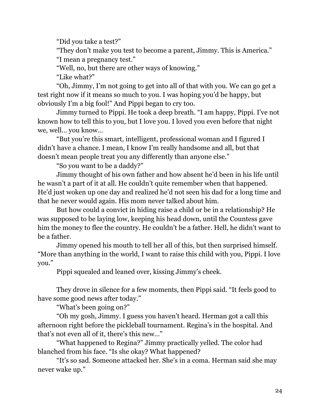"Did you take a test?"

"They don't make you test to become a parent, Jimmy. This is America."

"I mean a pregnancy test."

"Well, no, but there are other ways of knowing."

"Like what?"

"Oh, Jimmy, I'm not going to get into all of that with you. We can go get a test right now if it means so much to you. I was hoping you'd be happy, but obviously I'm a big fool!" And Pippi began to cry too.

Jimmy turned to Pippi. He took a deep breath. "I am happy, Pippi. I've not known how to tell this to you, but I love you. I loved you even before that night we, well… you know…

"But you're this smart, intelligent, professional woman and I figured I didn't have a chance. I mean, I know I'm really handsome and all, but that doesn't mean people treat you any differently than anyone else."

"So you want to be a daddy?"

Jimmy thought of his own father and how absent he'd been in his life until he wasn't a part of it at all. He couldn't quite remember when that happened. He'd just woken up one day and realized he'd not seen his dad for a long time and that he never would again. His mom never talked about him.

But how could a convict in hiding raise a child or be in a relationship? He was supposed to be laying low, keeping his head down, until the Countess gave him the money to flee the country. He couldn't be a father. Hell, he didn't want to be a father.

Jimmy opened his mouth to tell her all of this, but then surprised himself. "More than anything in the world, I want to raise this child with you, Pippi. I love you."

Pippi squealed and leaned over, kissing Jimmy's cheek.

They drove in silence for a few moments, then Pippi said. "It feels good to have some good news after today."

"What's been going on?"

"Oh my gosh, Jimmy. I guess you haven't heard. Herman got a call this afternoon right before the pickleball tournament. Regina's in the hospital. And that's not even all of it, there's this new…"

"What happened to Regina?" Jimmy practically yelled. The color had blanched from his face. "Is she okay? What happened?

"It's so sad. Someone attacked her. She's in a coma. Herman said she may never wake up."